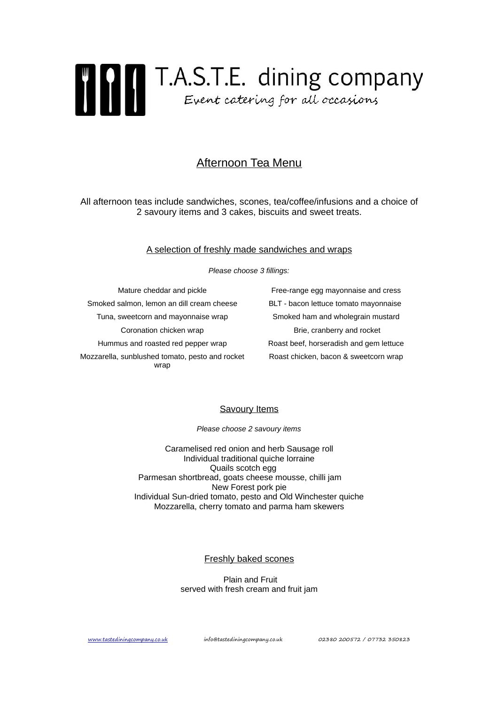

# Afternoon Tea Menu

All afternoon teas include sandwiches, scones, tea/coffee/infusions and a choice of 2 savoury items and 3 cakes, biscuits and sweet treats.

#### A selection of freshly made sandwiches and wraps

Please choose 3 fillings:

Smoked salmon, lemon an dill cream cheese BLT - bacon lettuce tomato mayonnaise Tuna, sweetcorn and mayonnaise wrap Smoked ham and wholegrain mustard Coronation chicken wrap Brie, cranberry and rocket Hummus and roasted red pepper wrap Roast beef, horseradish and gem lettuce Mozzarella, sunblushed tomato, pesto and rocket wrap

Mature cheddar and pickle **Free-range egg mayonnaise and cress** Roast chicken, bacon & sweetcorn wrap

## Savoury Items

Please choose 2 savoury items

Caramelised red onion and herb Sausage roll Individual traditional quiche lorraine Quails scotch egg Parmesan shortbread, goats cheese mousse, chilli jam New Forest pork pie Individual Sun-dried tomato, pesto and Old Winchester quiche Mozzarella, cherry tomato and parma ham skewers

## Freshly baked scones

 Plain and Fruit served with fresh cream and fruit jam